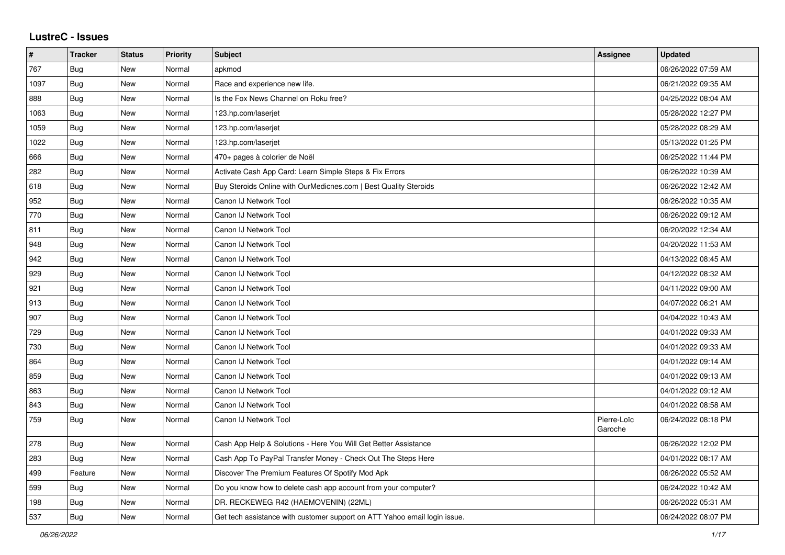## **LustreC - Issues**

| $\sharp$ | <b>Tracker</b> | <b>Status</b> | <b>Priority</b> | <b>Subject</b>                                                            | <b>Assignee</b>        | <b>Updated</b>      |
|----------|----------------|---------------|-----------------|---------------------------------------------------------------------------|------------------------|---------------------|
| 767      | <b>Bug</b>     | New           | Normal          | apkmod                                                                    |                        | 06/26/2022 07:59 AM |
| 1097     | <b>Bug</b>     | New           | Normal          | Race and experience new life.                                             |                        | 06/21/2022 09:35 AM |
| 888      | Bug            | New           | Normal          | Is the Fox News Channel on Roku free?                                     |                        | 04/25/2022 08:04 AM |
| 1063     | Bug            | New           | Normal          | 123.hp.com/laserjet                                                       |                        | 05/28/2022 12:27 PM |
| 1059     | Bug            | New           | Normal          | 123.hp.com/laserjet                                                       |                        | 05/28/2022 08:29 AM |
| 1022     | Bug            | <b>New</b>    | Normal          | 123.hp.com/laserjet                                                       |                        | 05/13/2022 01:25 PM |
| 666      | Bug            | <b>New</b>    | Normal          | 470+ pages à colorier de Noël                                             |                        | 06/25/2022 11:44 PM |
| 282      | <b>Bug</b>     | New           | Normal          | Activate Cash App Card: Learn Simple Steps & Fix Errors                   |                        | 06/26/2022 10:39 AM |
| 618      | <b>Bug</b>     | New           | Normal          | Buy Steroids Online with OurMedicnes.com   Best Quality Steroids          |                        | 06/26/2022 12:42 AM |
| 952      | <b>Bug</b>     | New           | Normal          | Canon IJ Network Tool                                                     |                        | 06/26/2022 10:35 AM |
| 770      | <b>Bug</b>     | New           | Normal          | Canon IJ Network Tool                                                     |                        | 06/26/2022 09:12 AM |
| 811      | Bug            | <b>New</b>    | Normal          | Canon IJ Network Tool                                                     |                        | 06/20/2022 12:34 AM |
| 948      | <b>Bug</b>     | New           | Normal          | Canon IJ Network Tool                                                     |                        | 04/20/2022 11:53 AM |
| 942      | <b>Bug</b>     | New           | Normal          | Canon IJ Network Tool                                                     |                        | 04/13/2022 08:45 AM |
| 929      | <b>Bug</b>     | <b>New</b>    | Normal          | Canon IJ Network Tool                                                     |                        | 04/12/2022 08:32 AM |
| 921      | <b>Bug</b>     | New           | Normal          | Canon IJ Network Tool                                                     |                        | 04/11/2022 09:00 AM |
| 913      | Bug            | <b>New</b>    | Normal          | Canon IJ Network Tool                                                     |                        | 04/07/2022 06:21 AM |
| 907      | <b>Bug</b>     | New           | Normal          | Canon IJ Network Tool                                                     |                        | 04/04/2022 10:43 AM |
| 729      | Bug            | New           | Normal          | Canon IJ Network Tool                                                     |                        | 04/01/2022 09:33 AM |
| 730      | <b>Bug</b>     | New           | Normal          | Canon IJ Network Tool                                                     |                        | 04/01/2022 09:33 AM |
| 864      | <b>Bug</b>     | New           | Normal          | Canon IJ Network Tool                                                     |                        | 04/01/2022 09:14 AM |
| 859      | Bug            | New           | Normal          | Canon IJ Network Tool                                                     |                        | 04/01/2022 09:13 AM |
| 863      | <b>Bug</b>     | New           | Normal          | Canon IJ Network Tool                                                     |                        | 04/01/2022 09:12 AM |
| 843      | Bug            | New           | Normal          | Canon IJ Network Tool                                                     |                        | 04/01/2022 08:58 AM |
| 759      | <b>Bug</b>     | New           | Normal          | Canon IJ Network Tool                                                     | Pierre-Loïc<br>Garoche | 06/24/2022 08:18 PM |
| 278      | Bug            | New           | Normal          | Cash App Help & Solutions - Here You Will Get Better Assistance           |                        | 06/26/2022 12:02 PM |
| 283      | Bug            | New           | Normal          | Cash App To PayPal Transfer Money - Check Out The Steps Here              |                        | 04/01/2022 08:17 AM |
| 499      | Feature        | New           | Normal          | Discover The Premium Features Of Spotify Mod Apk                          |                        | 06/26/2022 05:52 AM |
| 599      | Bug            | New           | Normal          | Do you know how to delete cash app account from your computer?            |                        | 06/24/2022 10:42 AM |
| 198      | Bug            | New           | Normal          | DR. RECKEWEG R42 (HAEMOVENIN) (22ML)                                      |                        | 06/26/2022 05:31 AM |
| 537      | <b>Bug</b>     | New           | Normal          | Get tech assistance with customer support on ATT Yahoo email login issue. |                        | 06/24/2022 08:07 PM |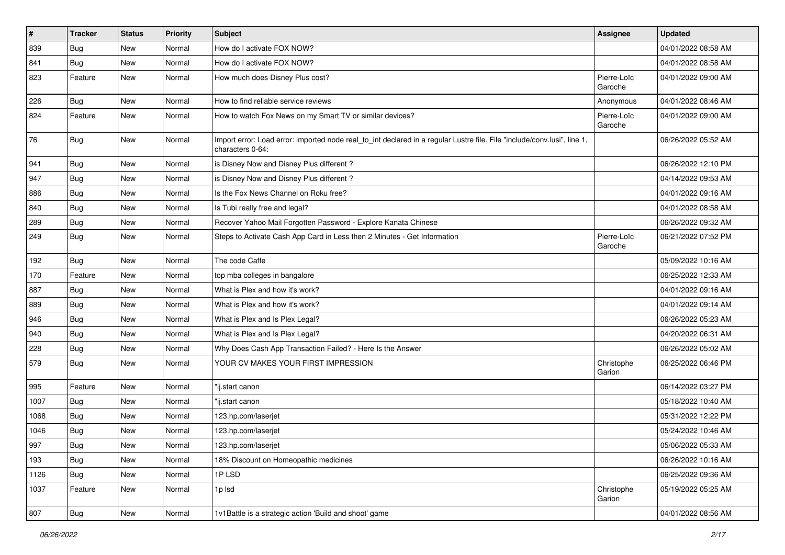| $\vert$ # | <b>Tracker</b> | <b>Status</b> | <b>Priority</b> | Subject                                                                                                                                      | <b>Assignee</b>        | <b>Updated</b>      |
|-----------|----------------|---------------|-----------------|----------------------------------------------------------------------------------------------------------------------------------------------|------------------------|---------------------|
| 839       | <b>Bug</b>     | New           | Normal          | How do I activate FOX NOW?                                                                                                                   |                        | 04/01/2022 08:58 AM |
| 841       | <b>Bug</b>     | New           | Normal          | How do I activate FOX NOW?                                                                                                                   |                        | 04/01/2022 08:58 AM |
| 823       | Feature        | New           | Normal          | How much does Disney Plus cost?                                                                                                              | Pierre-Loïc<br>Garoche | 04/01/2022 09:00 AM |
| 226       | Bug            | New           | Normal          | How to find reliable service reviews                                                                                                         | Anonymous              | 04/01/2022 08:46 AM |
| 824       | Feature        | New           | Normal          | How to watch Fox News on my Smart TV or similar devices?                                                                                     | Pierre-Loïc<br>Garoche | 04/01/2022 09:00 AM |
| 76        | Bug            | New           | Normal          | Import error: Load error: imported node real_to_int declared in a regular Lustre file. File "include/conv.lusi", line 1,<br>characters 0-64: |                        | 06/26/2022 05:52 AM |
| 941       | <b>Bug</b>     | New           | Normal          | is Disney Now and Disney Plus different?                                                                                                     |                        | 06/26/2022 12:10 PM |
| 947       | Bug            | New           | Normal          | is Disney Now and Disney Plus different?                                                                                                     |                        | 04/14/2022 09:53 AM |
| 886       | <b>Bug</b>     | New           | Normal          | Is the Fox News Channel on Roku free?                                                                                                        |                        | 04/01/2022 09:16 AM |
| 840       | Bug            | New           | Normal          | Is Tubi really free and legal?                                                                                                               |                        | 04/01/2022 08:58 AM |
| 289       | <b>Bug</b>     | New           | Normal          | Recover Yahoo Mail Forgotten Password - Explore Kanata Chinese                                                                               |                        | 06/26/2022 09:32 AM |
| 249       | <b>Bug</b>     | New           | Normal          | Steps to Activate Cash App Card in Less then 2 Minutes - Get Information                                                                     | Pierre-Loïc<br>Garoche | 06/21/2022 07:52 PM |
| 192       | Bug            | New           | Normal          | The code Caffe                                                                                                                               |                        | 05/09/2022 10:16 AM |
| 170       | Feature        | New           | Normal          | top mba colleges in bangalore                                                                                                                |                        | 06/25/2022 12:33 AM |
| 887       | Bug            | New           | Normal          | What is Plex and how it's work?                                                                                                              |                        | 04/01/2022 09:16 AM |
| 889       | <b>Bug</b>     | New           | Normal          | What is Plex and how it's work?                                                                                                              |                        | 04/01/2022 09:14 AM |
| 946       | Bug            | New           | Normal          | What is Plex and Is Plex Legal?                                                                                                              |                        | 06/26/2022 05:23 AM |
| 940       | Bug            | New           | Normal          | What is Plex and Is Plex Legal?                                                                                                              |                        | 04/20/2022 06:31 AM |
| 228       | <b>Bug</b>     | New           | Normal          | Why Does Cash App Transaction Failed? - Here Is the Answer                                                                                   |                        | 06/26/2022 05:02 AM |
| 579       | <b>Bug</b>     | New           | Normal          | YOUR CV MAKES YOUR FIRST IMPRESSION                                                                                                          | Christophe<br>Garion   | 06/25/2022 06:46 PM |
| 995       | Feature        | New           | Normal          | "ij.start canon                                                                                                                              |                        | 06/14/2022 03:27 PM |
| 1007      | <b>Bug</b>     | New           | Normal          | "ij.start canon                                                                                                                              |                        | 05/18/2022 10:40 AM |
| 1068      | <b>Bug</b>     | New           | Normal          | 123.hp.com/laserjet                                                                                                                          |                        | 05/31/2022 12:22 PM |
| 1046      | <b>Bug</b>     | New           | Normal          | 123.hp.com/laserjet                                                                                                                          |                        | 05/24/2022 10:46 AM |
| 997       | Bug            | New           | Normal          | 123.hp.com/laserjet                                                                                                                          |                        | 05/06/2022 05:33 AM |
| 193       | <b>Bug</b>     | New           | Normal          | 18% Discount on Homeopathic medicines                                                                                                        |                        | 06/26/2022 10:16 AM |
| 1126      | Bug            | New           | Normal          | 1PLSD                                                                                                                                        |                        | 06/25/2022 09:36 AM |
| 1037      | Feature        | New           | Normal          | 1p lsd                                                                                                                                       | Christophe<br>Garion   | 05/19/2022 05:25 AM |
| 807       | <b>Bug</b>     | New           | Normal          | 1v1Battle is a strategic action 'Build and shoot' game                                                                                       |                        | 04/01/2022 08:56 AM |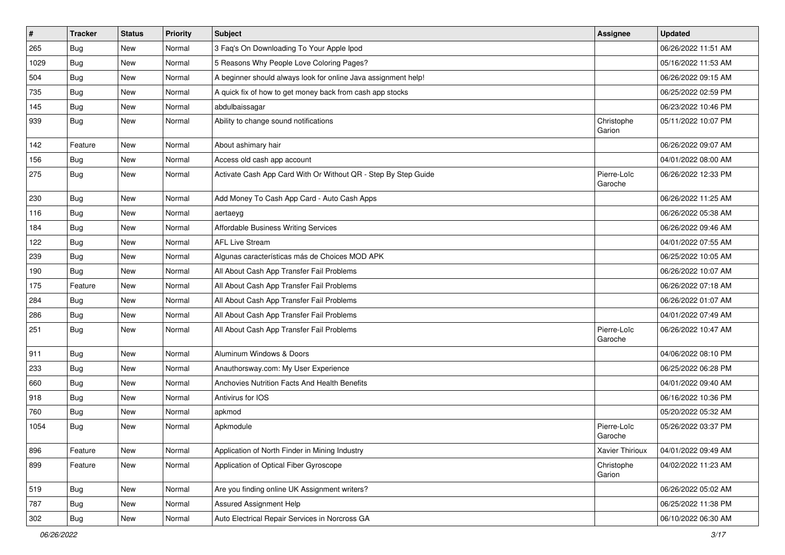| $\pmb{\sharp}$ | <b>Tracker</b> | <b>Status</b> | <b>Priority</b> | <b>Subject</b>                                                 | <b>Assignee</b>        | <b>Updated</b>      |
|----------------|----------------|---------------|-----------------|----------------------------------------------------------------|------------------------|---------------------|
| 265            | <b>Bug</b>     | New           | Normal          | 3 Faq's On Downloading To Your Apple Ipod                      |                        | 06/26/2022 11:51 AM |
| 1029           | <b>Bug</b>     | New           | Normal          | 5 Reasons Why People Love Coloring Pages?                      |                        | 05/16/2022 11:53 AM |
| 504            | Bug            | New           | Normal          | A beginner should always look for online Java assignment help! |                        | 06/26/2022 09:15 AM |
| 735            | <b>Bug</b>     | New           | Normal          | A quick fix of how to get money back from cash app stocks      |                        | 06/25/2022 02:59 PM |
| 145            | <b>Bug</b>     | New           | Normal          | abdulbaissagar                                                 |                        | 06/23/2022 10:46 PM |
| 939            | Bug            | New           | Normal          | Ability to change sound notifications                          | Christophe<br>Garion   | 05/11/2022 10:07 PM |
| 142            | Feature        | New           | Normal          | About ashimary hair                                            |                        | 06/26/2022 09:07 AM |
| 156            | <b>Bug</b>     | New           | Normal          | Access old cash app account                                    |                        | 04/01/2022 08:00 AM |
| 275            | Bug            | New           | Normal          | Activate Cash App Card With Or Without QR - Step By Step Guide | Pierre-Loïc<br>Garoche | 06/26/2022 12:33 PM |
| 230            | Bug            | <b>New</b>    | Normal          | Add Money To Cash App Card - Auto Cash Apps                    |                        | 06/26/2022 11:25 AM |
| 116            | Bug            | New           | Normal          | aertaeyg                                                       |                        | 06/26/2022 05:38 AM |
| 184            | <b>Bug</b>     | New           | Normal          | Affordable Business Writing Services                           |                        | 06/26/2022 09:46 AM |
| 122            | Bug            | New           | Normal          | <b>AFL Live Stream</b>                                         |                        | 04/01/2022 07:55 AM |
| 239            | Bug            | New           | Normal          | Algunas características más de Choices MOD APK                 |                        | 06/25/2022 10:05 AM |
| 190            | Bug            | New           | Normal          | All About Cash App Transfer Fail Problems                      |                        | 06/26/2022 10:07 AM |
| 175            | Feature        | New           | Normal          | All About Cash App Transfer Fail Problems                      |                        | 06/26/2022 07:18 AM |
| 284            | <b>Bug</b>     | New           | Normal          | All About Cash App Transfer Fail Problems                      |                        | 06/26/2022 01:07 AM |
| 286            | Bug            | New           | Normal          | All About Cash App Transfer Fail Problems                      |                        | 04/01/2022 07:49 AM |
| 251            | <b>Bug</b>     | New           | Normal          | All About Cash App Transfer Fail Problems                      | Pierre-Loïc<br>Garoche | 06/26/2022 10:47 AM |
| 911            | Bug            | New           | Normal          | Aluminum Windows & Doors                                       |                        | 04/06/2022 08:10 PM |
| 233            | Bug            | New           | Normal          | Anauthorsway.com: My User Experience                           |                        | 06/25/2022 06:28 PM |
| 660            | <b>Bug</b>     | New           | Normal          | Anchovies Nutrition Facts And Health Benefits                  |                        | 04/01/2022 09:40 AM |
| 918            | Bug            | New           | Normal          | Antivirus for IOS                                              |                        | 06/16/2022 10:36 PM |
| 760            | <b>Bug</b>     | New           | Normal          | apkmod                                                         |                        | 05/20/2022 05:32 AM |
| 1054           | <b>Bug</b>     | New           | Normal          | Apkmodule                                                      | Pierre-Loïc<br>Garoche | 05/26/2022 03:37 PM |
| 896            | Feature        | New           | Normal          | Application of North Finder in Mining Industry                 | Xavier Thirioux        | 04/01/2022 09:49 AM |
| 899            | Feature        | New           | Normal          | Application of Optical Fiber Gyroscope                         | Christophe<br>Garion   | 04/02/2022 11:23 AM |
| 519            | Bug            | New           | Normal          | Are you finding online UK Assignment writers?                  |                        | 06/26/2022 05:02 AM |
| 787            | <b>Bug</b>     | New           | Normal          | Assured Assignment Help                                        |                        | 06/25/2022 11:38 PM |
| 302            | <b>Bug</b>     | New           | Normal          | Auto Electrical Repair Services in Norcross GA                 |                        | 06/10/2022 06:30 AM |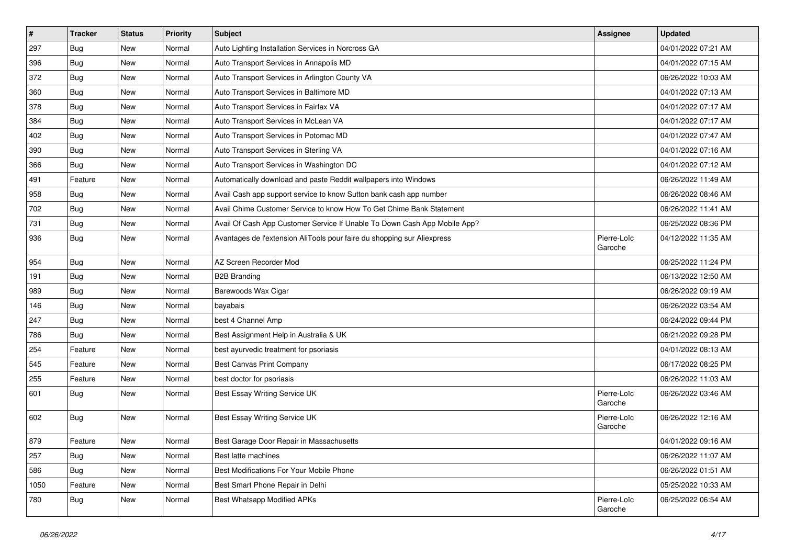| $\vert$ # | <b>Tracker</b> | <b>Status</b> | <b>Priority</b> | Subject                                                                   | Assignee               | <b>Updated</b>      |
|-----------|----------------|---------------|-----------------|---------------------------------------------------------------------------|------------------------|---------------------|
| 297       | <b>Bug</b>     | New           | Normal          | Auto Lighting Installation Services in Norcross GA                        |                        | 04/01/2022 07:21 AM |
| 396       | Bug            | New           | Normal          | Auto Transport Services in Annapolis MD                                   |                        | 04/01/2022 07:15 AM |
| 372       | Bug            | New           | Normal          | Auto Transport Services in Arlington County VA                            |                        | 06/26/2022 10:03 AM |
| 360       | <b>Bug</b>     | New           | Normal          | Auto Transport Services in Baltimore MD                                   |                        | 04/01/2022 07:13 AM |
| 378       | Bug            | New           | Normal          | Auto Transport Services in Fairfax VA                                     |                        | 04/01/2022 07:17 AM |
| 384       | Bug            | New           | Normal          | Auto Transport Services in McLean VA                                      |                        | 04/01/2022 07:17 AM |
| 402       | <b>Bug</b>     | New           | Normal          | Auto Transport Services in Potomac MD                                     |                        | 04/01/2022 07:47 AM |
| 390       | Bug            | New           | Normal          | Auto Transport Services in Sterling VA                                    |                        | 04/01/2022 07:16 AM |
| 366       | <b>Bug</b>     | New           | Normal          | Auto Transport Services in Washington DC                                  |                        | 04/01/2022 07:12 AM |
| 491       | Feature        | New           | Normal          | Automatically download and paste Reddit wallpapers into Windows           |                        | 06/26/2022 11:49 AM |
| 958       | <b>Bug</b>     | New           | Normal          | Avail Cash app support service to know Sutton bank cash app number        |                        | 06/26/2022 08:46 AM |
| 702       | <b>Bug</b>     | New           | Normal          | Avail Chime Customer Service to know How To Get Chime Bank Statement      |                        | 06/26/2022 11:41 AM |
| 731       | Bug            | <b>New</b>    | Normal          | Avail Of Cash App Customer Service If Unable To Down Cash App Mobile App? |                        | 06/25/2022 08:36 PM |
| 936       | <b>Bug</b>     | New           | Normal          | Avantages de l'extension AliTools pour faire du shopping sur Aliexpress   | Pierre-Loïc<br>Garoche | 04/12/2022 11:35 AM |
| 954       | <b>Bug</b>     | New           | Normal          | AZ Screen Recorder Mod                                                    |                        | 06/25/2022 11:24 PM |
| 191       | <b>Bug</b>     | <b>New</b>    | Normal          | <b>B2B Branding</b>                                                       |                        | 06/13/2022 12:50 AM |
| 989       | Bug            | New           | Normal          | Barewoods Wax Cigar                                                       |                        | 06/26/2022 09:19 AM |
| 146       | Bug            | New           | Normal          | bayabais                                                                  |                        | 06/26/2022 03:54 AM |
| 247       | Bug            | New           | Normal          | best 4 Channel Amp                                                        |                        | 06/24/2022 09:44 PM |
| 786       | Bug            | <b>New</b>    | Normal          | Best Assignment Help in Australia & UK                                    |                        | 06/21/2022 09:28 PM |
| 254       | Feature        | New           | Normal          | best ayurvedic treatment for psoriasis                                    |                        | 04/01/2022 08:13 AM |
| 545       | Feature        | New           | Normal          | Best Canvas Print Company                                                 |                        | 06/17/2022 08:25 PM |
| 255       | Feature        | New           | Normal          | best doctor for psoriasis                                                 |                        | 06/26/2022 11:03 AM |
| 601       | <b>Bug</b>     | New           | Normal          | Best Essay Writing Service UK                                             | Pierre-Loïc<br>Garoche | 06/26/2022 03:46 AM |
| 602       | <b>Bug</b>     | New           | Normal          | Best Essay Writing Service UK                                             | Pierre-Loïc<br>Garoche | 06/26/2022 12:16 AM |
| 879       | Feature        | New           | Normal          | Best Garage Door Repair in Massachusetts                                  |                        | 04/01/2022 09:16 AM |
| 257       | <b>Bug</b>     | New           | Normal          | Best latte machines                                                       |                        | 06/26/2022 11:07 AM |
| 586       | <b>Bug</b>     | New           | Normal          | Best Modifications For Your Mobile Phone                                  |                        | 06/26/2022 01:51 AM |
| 1050      | Feature        | New           | Normal          | Best Smart Phone Repair in Delhi                                          |                        | 05/25/2022 10:33 AM |
| 780       | <b>Bug</b>     | New           | Normal          | <b>Best Whatsapp Modified APKs</b>                                        | Pierre-Loïc<br>Garoche | 06/25/2022 06:54 AM |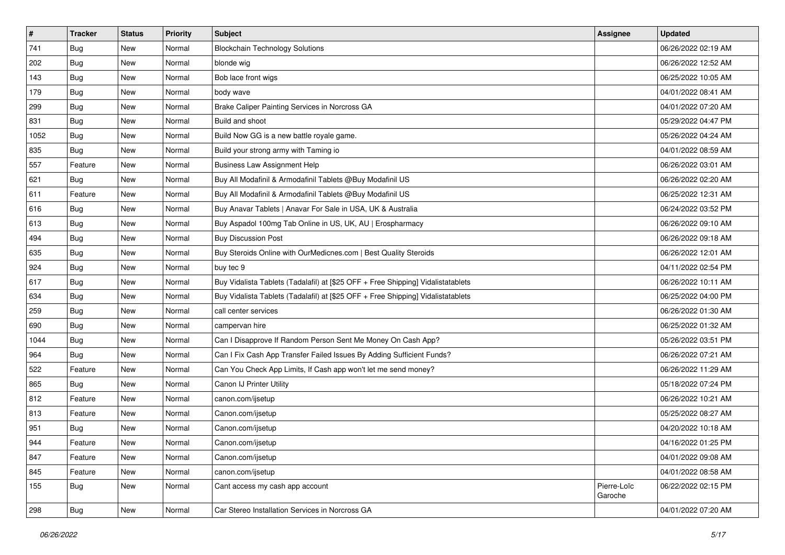| $\sharp$ | <b>Tracker</b> | <b>Status</b> | <b>Priority</b> | Subject                                                                          | <b>Assignee</b>        | <b>Updated</b>      |
|----------|----------------|---------------|-----------------|----------------------------------------------------------------------------------|------------------------|---------------------|
| 741      | Bug            | New           | Normal          | <b>Blockchain Technology Solutions</b>                                           |                        | 06/26/2022 02:19 AM |
| 202      | Bug            | New           | Normal          | blonde wig                                                                       |                        | 06/26/2022 12:52 AM |
| 143      | Bug            | New           | Normal          | Bob lace front wigs                                                              |                        | 06/25/2022 10:05 AM |
| 179      | Bug            | New           | Normal          | body wave                                                                        |                        | 04/01/2022 08:41 AM |
| 299      | Bug            | <b>New</b>    | Normal          | Brake Caliper Painting Services in Norcross GA                                   |                        | 04/01/2022 07:20 AM |
| 831      | Bug            | New           | Normal          | Build and shoot                                                                  |                        | 05/29/2022 04:47 PM |
| 1052     | Bug            | New           | Normal          | Build Now GG is a new battle royale game.                                        |                        | 05/26/2022 04:24 AM |
| 835      | <b>Bug</b>     | New           | Normal          | Build your strong army with Taming io                                            |                        | 04/01/2022 08:59 AM |
| 557      | Feature        | New           | Normal          | <b>Business Law Assignment Help</b>                                              |                        | 06/26/2022 03:01 AM |
| 621      | Bug            | New           | Normal          | Buy All Modafinil & Armodafinil Tablets @Buy Modafinil US                        |                        | 06/26/2022 02:20 AM |
| 611      | Feature        | New           | Normal          | Buy All Modafinil & Armodafinil Tablets @Buy Modafinil US                        |                        | 06/25/2022 12:31 AM |
| 616      | Bug            | New           | Normal          | Buy Anavar Tablets   Anavar For Sale in USA, UK & Australia                      |                        | 06/24/2022 03:52 PM |
| 613      | Bug            | New           | Normal          | Buy Aspadol 100mg Tab Online in US, UK, AU   Erospharmacy                        |                        | 06/26/2022 09:10 AM |
| 494      | <b>Bug</b>     | New           | Normal          | <b>Buy Discussion Post</b>                                                       |                        | 06/26/2022 09:18 AM |
| 635      | Bug            | New           | Normal          | Buy Steroids Online with OurMedicnes.com   Best Quality Steroids                 |                        | 06/26/2022 12:01 AM |
| 924      | <b>Bug</b>     | New           | Normal          | buy tec 9                                                                        |                        | 04/11/2022 02:54 PM |
| 617      | Bug            | New           | Normal          | Buy Vidalista Tablets (Tadalafil) at [\$25 OFF + Free Shipping] Vidalistatablets |                        | 06/26/2022 10:11 AM |
| 634      | Bug            | New           | Normal          | Buy Vidalista Tablets (Tadalafil) at [\$25 OFF + Free Shipping] Vidalistatablets |                        | 06/25/2022 04:00 PM |
| 259      | Bug            | New           | Normal          | call center services                                                             |                        | 06/26/2022 01:30 AM |
| 690      | <b>Bug</b>     | New           | Normal          | campervan hire                                                                   |                        | 06/25/2022 01:32 AM |
| 1044     | Bug            | New           | Normal          | Can I Disapprove If Random Person Sent Me Money On Cash App?                     |                        | 05/26/2022 03:51 PM |
| 964      | <b>Bug</b>     | New           | Normal          | Can I Fix Cash App Transfer Failed Issues By Adding Sufficient Funds?            |                        | 06/26/2022 07:21 AM |
| 522      | Feature        | New           | Normal          | Can You Check App Limits, If Cash app won't let me send money?                   |                        | 06/26/2022 11:29 AM |
| 865      | <b>Bug</b>     | New           | Normal          | Canon IJ Printer Utility                                                         |                        | 05/18/2022 07:24 PM |
| 812      | Feature        | New           | Normal          | canon.com/ijsetup                                                                |                        | 06/26/2022 10:21 AM |
| 813      | Feature        | New           | Normal          | Canon.com/ijsetup                                                                |                        | 05/25/2022 08:27 AM |
| 951      | <b>Bug</b>     | New           | Normal          | Canon.com/ijsetup                                                                |                        | 04/20/2022 10:18 AM |
| 944      | Feature        | New           | Normal          | Canon.com/ijsetup                                                                |                        | 04/16/2022 01:25 PM |
| 847      | Feature        | New           | Normal          | Canon.com/ijsetup                                                                |                        | 04/01/2022 09:08 AM |
| 845      | Feature        | New           | Normal          | canon.com/ijsetup                                                                |                        | 04/01/2022 08:58 AM |
| 155      | <b>Bug</b>     | New           | Normal          | Cant access my cash app account                                                  | Pierre-Loïc<br>Garoche | 06/22/2022 02:15 PM |
| 298      | <b>Bug</b>     | New           | Normal          | Car Stereo Installation Services in Norcross GA                                  |                        | 04/01/2022 07:20 AM |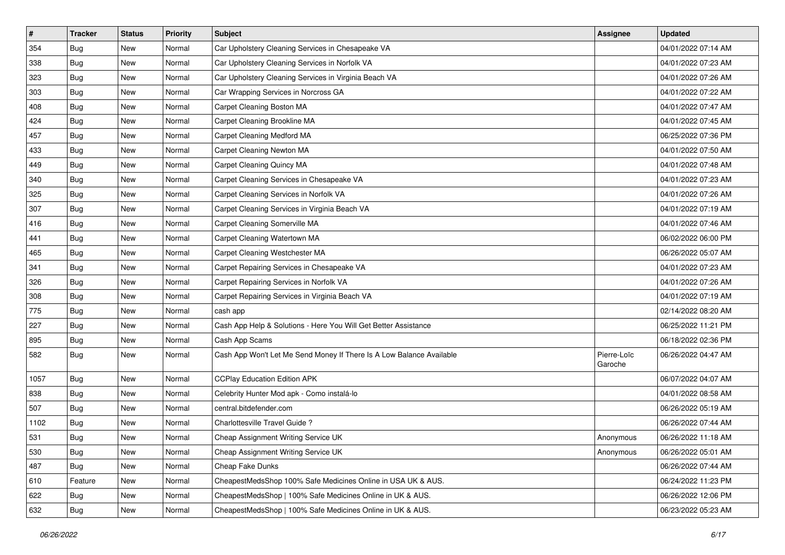| $\sharp$ | <b>Tracker</b> | <b>Status</b> | <b>Priority</b> | Subject                                                              | <b>Assignee</b>        | <b>Updated</b>      |
|----------|----------------|---------------|-----------------|----------------------------------------------------------------------|------------------------|---------------------|
| 354      | Bug            | New           | Normal          | Car Upholstery Cleaning Services in Chesapeake VA                    |                        | 04/01/2022 07:14 AM |
| 338      | Bug            | New           | Normal          | Car Upholstery Cleaning Services in Norfolk VA                       |                        | 04/01/2022 07:23 AM |
| 323      | Bug            | New           | Normal          | Car Upholstery Cleaning Services in Virginia Beach VA                |                        | 04/01/2022 07:26 AM |
| 303      | Bug            | New           | Normal          | Car Wrapping Services in Norcross GA                                 |                        | 04/01/2022 07:22 AM |
| 408      | Bug            | <b>New</b>    | Normal          | Carpet Cleaning Boston MA                                            |                        | 04/01/2022 07:47 AM |
| 424      | Bug            | New           | Normal          | Carpet Cleaning Brookline MA                                         |                        | 04/01/2022 07:45 AM |
| 457      | Bug            | New           | Normal          | Carpet Cleaning Medford MA                                           |                        | 06/25/2022 07:36 PM |
| 433      | <b>Bug</b>     | New           | Normal          | Carpet Cleaning Newton MA                                            |                        | 04/01/2022 07:50 AM |
| 449      | <b>Bug</b>     | New           | Normal          | Carpet Cleaning Quincy MA                                            |                        | 04/01/2022 07:48 AM |
| 340      | Bug            | New           | Normal          | Carpet Cleaning Services in Chesapeake VA                            |                        | 04/01/2022 07:23 AM |
| 325      | <b>Bug</b>     | New           | Normal          | Carpet Cleaning Services in Norfolk VA                               |                        | 04/01/2022 07:26 AM |
| 307      | Bug            | New           | Normal          | Carpet Cleaning Services in Virginia Beach VA                        |                        | 04/01/2022 07:19 AM |
| 416      | Bug            | New           | Normal          | Carpet Cleaning Somerville MA                                        |                        | 04/01/2022 07:46 AM |
| 441      | <b>Bug</b>     | <b>New</b>    | Normal          | Carpet Cleaning Watertown MA                                         |                        | 06/02/2022 06:00 PM |
| 465      | Bug            | New           | Normal          | Carpet Cleaning Westchester MA                                       |                        | 06/26/2022 05:07 AM |
| 341      | <b>Bug</b>     | New           | Normal          | Carpet Repairing Services in Chesapeake VA                           |                        | 04/01/2022 07:23 AM |
| 326      | Bug            | New           | Normal          | Carpet Repairing Services in Norfolk VA                              |                        | 04/01/2022 07:26 AM |
| 308      | <b>Bug</b>     | New           | Normal          | Carpet Repairing Services in Virginia Beach VA                       |                        | 04/01/2022 07:19 AM |
| 775      | Bug            | New           | Normal          | cash app                                                             |                        | 02/14/2022 08:20 AM |
| 227      | Bug            | New           | Normal          | Cash App Help & Solutions - Here You Will Get Better Assistance      |                        | 06/25/2022 11:21 PM |
| 895      | <b>Bug</b>     | New           | Normal          | Cash App Scams                                                       |                        | 06/18/2022 02:36 PM |
| 582      | <b>Bug</b>     | New           | Normal          | Cash App Won't Let Me Send Money If There Is A Low Balance Available | Pierre-Loïc<br>Garoche | 06/26/2022 04:47 AM |
| 1057     | Bug            | New           | Normal          | <b>CCPlay Education Edition APK</b>                                  |                        | 06/07/2022 04:07 AM |
| 838      | Bug            | New           | Normal          | Celebrity Hunter Mod apk - Como instalá-lo                           |                        | 04/01/2022 08:58 AM |
| 507      | <b>Bug</b>     | New           | Normal          | central.bitdefender.com                                              |                        | 06/26/2022 05:19 AM |
| 1102     | Bug            | <b>New</b>    | Normal          | Charlottesville Travel Guide?                                        |                        | 06/26/2022 07:44 AM |
| 531      | <b>Bug</b>     | New           | Normal          | Cheap Assignment Writing Service UK                                  | Anonymous              | 06/26/2022 11:18 AM |
| 530      | <b>Bug</b>     | New           | Normal          | Cheap Assignment Writing Service UK                                  | Anonymous              | 06/26/2022 05:01 AM |
| 487      | Bug            | New           | Normal          | Cheap Fake Dunks                                                     |                        | 06/26/2022 07:44 AM |
| 610      | Feature        | New           | Normal          | CheapestMedsShop 100% Safe Medicines Online in USA UK & AUS.         |                        | 06/24/2022 11:23 PM |
| 622      | <b>Bug</b>     | New           | Normal          | CheapestMedsShop   100% Safe Medicines Online in UK & AUS.           |                        | 06/26/2022 12:06 PM |
| 632      | <b>Bug</b>     | New           | Normal          | CheapestMedsShop   100% Safe Medicines Online in UK & AUS.           |                        | 06/23/2022 05:23 AM |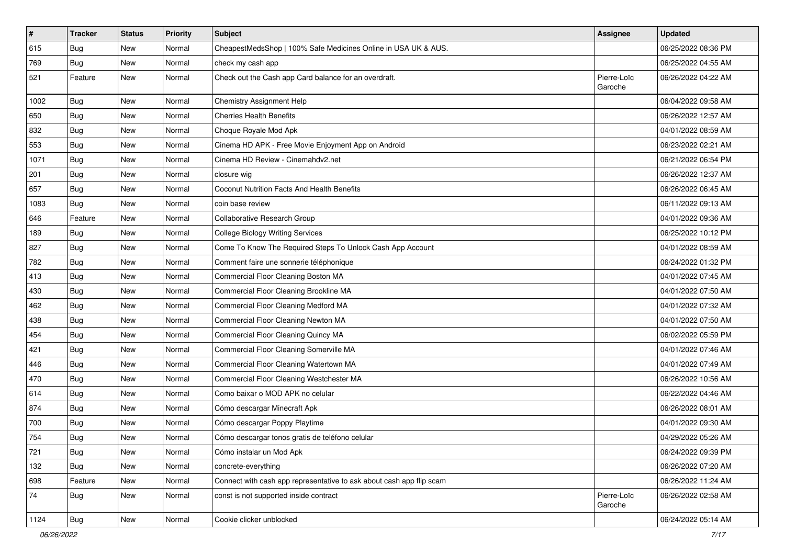| $\vert$ # | <b>Tracker</b> | <b>Status</b> | <b>Priority</b> | <b>Subject</b>                                                       | <b>Assignee</b>        | <b>Updated</b>      |
|-----------|----------------|---------------|-----------------|----------------------------------------------------------------------|------------------------|---------------------|
| 615       | <b>Bug</b>     | New           | Normal          | CheapestMedsShop   100% Safe Medicines Online in USA UK & AUS.       |                        | 06/25/2022 08:36 PM |
| 769       | <b>Bug</b>     | New           | Normal          | check my cash app                                                    |                        | 06/25/2022 04:55 AM |
| 521       | Feature        | New           | Normal          | Check out the Cash app Card balance for an overdraft.                | Pierre-Loïc<br>Garoche | 06/26/2022 04:22 AM |
| 1002      | <b>Bug</b>     | New           | Normal          | Chemistry Assignment Help                                            |                        | 06/04/2022 09:58 AM |
| 650       | <b>Bug</b>     | New           | Normal          | <b>Cherries Health Benefits</b>                                      |                        | 06/26/2022 12:57 AM |
| 832       | <b>Bug</b>     | New           | Normal          | Choque Royale Mod Apk                                                |                        | 04/01/2022 08:59 AM |
| 553       | Bug            | New           | Normal          | Cinema HD APK - Free Movie Enjoyment App on Android                  |                        | 06/23/2022 02:21 AM |
| 1071      | Bug            | New           | Normal          | Cinema HD Review - Cinemahdy2.net                                    |                        | 06/21/2022 06:54 PM |
| 201       | Bug            | New           | Normal          | closure wig                                                          |                        | 06/26/2022 12:37 AM |
| 657       | Bug            | New           | Normal          | Coconut Nutrition Facts And Health Benefits                          |                        | 06/26/2022 06:45 AM |
| 1083      | Bug            | New           | Normal          | coin base review                                                     |                        | 06/11/2022 09:13 AM |
| 646       | Feature        | New           | Normal          | Collaborative Research Group                                         |                        | 04/01/2022 09:36 AM |
| 189       | <b>Bug</b>     | New           | Normal          | <b>College Biology Writing Services</b>                              |                        | 06/25/2022 10:12 PM |
| 827       | <b>Bug</b>     | New           | Normal          | Come To Know The Required Steps To Unlock Cash App Account           |                        | 04/01/2022 08:59 AM |
| 782       | Bug            | New           | Normal          | Comment faire une sonnerie téléphonique                              |                        | 06/24/2022 01:32 PM |
| 413       | Bug            | New           | Normal          | Commercial Floor Cleaning Boston MA                                  |                        | 04/01/2022 07:45 AM |
| 430       | Bug            | New           | Normal          | Commercial Floor Cleaning Brookline MA                               |                        | 04/01/2022 07:50 AM |
| 462       | Bug            | New           | Normal          | Commercial Floor Cleaning Medford MA                                 |                        | 04/01/2022 07:32 AM |
| 438       | <b>Bug</b>     | New           | Normal          | Commercial Floor Cleaning Newton MA                                  |                        | 04/01/2022 07:50 AM |
| 454       | Bug            | New           | Normal          | Commercial Floor Cleaning Quincy MA                                  |                        | 06/02/2022 05:59 PM |
| 421       | Bug            | New           | Normal          | Commercial Floor Cleaning Somerville MA                              |                        | 04/01/2022 07:46 AM |
| 446       | <b>Bug</b>     | New           | Normal          | Commercial Floor Cleaning Watertown MA                               |                        | 04/01/2022 07:49 AM |
| 470       | <b>Bug</b>     | New           | Normal          | Commercial Floor Cleaning Westchester MA                             |                        | 06/26/2022 10:56 AM |
| 614       | Bug            | New           | Normal          | Como baixar o MOD APK no celular                                     |                        | 06/22/2022 04:46 AM |
| 874       | <b>Bug</b>     | New           | Normal          | Cómo descargar Minecraft Apk                                         |                        | 06/26/2022 08:01 AM |
| 700       | <b>Bug</b>     | New           | Normal          | Cómo descargar Poppy Playtime                                        |                        | 04/01/2022 09:30 AM |
| 754       | Bug            | New           | Normal          | Cómo descargar tonos gratis de teléfono celular                      |                        | 04/29/2022 05:26 AM |
| 721       | <b>Bug</b>     | New           | Normal          | Cómo instalar un Mod Apk                                             |                        | 06/24/2022 09:39 PM |
| 132       | Bug            | New           | Normal          | concrete-everything                                                  |                        | 06/26/2022 07:20 AM |
| 698       | Feature        | New           | Normal          | Connect with cash app representative to ask about cash app flip scam |                        | 06/26/2022 11:24 AM |
| 74        | <b>Bug</b>     | New           | Normal          | const is not supported inside contract                               | Pierre-Loïc<br>Garoche | 06/26/2022 02:58 AM |
| 1124      | Bug            | New           | Normal          | Cookie clicker unblocked                                             |                        | 06/24/2022 05:14 AM |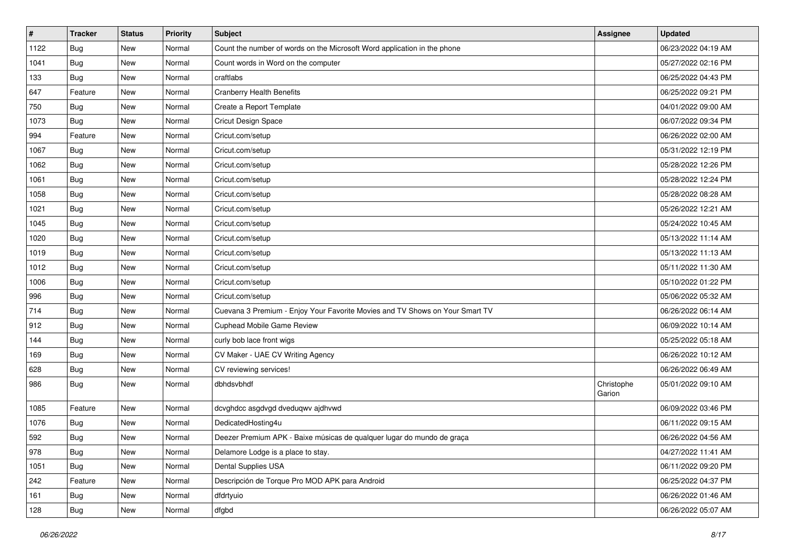| $\vert$ # | <b>Tracker</b> | <b>Status</b> | <b>Priority</b> | Subject                                                                      | <b>Assignee</b>      | <b>Updated</b>      |
|-----------|----------------|---------------|-----------------|------------------------------------------------------------------------------|----------------------|---------------------|
| 1122      | Bug            | New           | Normal          | Count the number of words on the Microsoft Word application in the phone     |                      | 06/23/2022 04:19 AM |
| 1041      | <b>Bug</b>     | New           | Normal          | Count words in Word on the computer                                          |                      | 05/27/2022 02:16 PM |
| 133       | Bug            | New           | Normal          | craftlabs                                                                    |                      | 06/25/2022 04:43 PM |
| 647       | Feature        | New           | Normal          | <b>Cranberry Health Benefits</b>                                             |                      | 06/25/2022 09:21 PM |
| 750       | Bug            | New           | Normal          | Create a Report Template                                                     |                      | 04/01/2022 09:00 AM |
| 1073      | Bug            | New           | Normal          | Cricut Design Space                                                          |                      | 06/07/2022 09:34 PM |
| 994       | Feature        | New           | Normal          | Cricut.com/setup                                                             |                      | 06/26/2022 02:00 AM |
| 1067      | <b>Bug</b>     | New           | Normal          | Cricut.com/setup                                                             |                      | 05/31/2022 12:19 PM |
| 1062      | Bug            | New           | Normal          | Cricut.com/setup                                                             |                      | 05/28/2022 12:26 PM |
| 1061      | <b>Bug</b>     | New           | Normal          | Cricut.com/setup                                                             |                      | 05/28/2022 12:24 PM |
| 1058      | Bug            | New           | Normal          | Cricut.com/setup                                                             |                      | 05/28/2022 08:28 AM |
| 1021      | Bug            | New           | Normal          | Cricut.com/setup                                                             |                      | 05/26/2022 12:21 AM |
| 1045      | Bug            | New           | Normal          | Cricut.com/setup                                                             |                      | 05/24/2022 10:45 AM |
| 1020      | Bug            | New           | Normal          | Cricut.com/setup                                                             |                      | 05/13/2022 11:14 AM |
| 1019      | <b>Bug</b>     | New           | Normal          | Cricut.com/setup                                                             |                      | 05/13/2022 11:13 AM |
| 1012      | Bug            | New           | Normal          | Cricut.com/setup                                                             |                      | 05/11/2022 11:30 AM |
| 1006      | Bug            | New           | Normal          | Cricut.com/setup                                                             |                      | 05/10/2022 01:22 PM |
| 996       | Bug            | New           | Normal          | Cricut.com/setup                                                             |                      | 05/06/2022 05:32 AM |
| 714       | <b>Bug</b>     | New           | Normal          | Cuevana 3 Premium - Enjoy Your Favorite Movies and TV Shows on Your Smart TV |                      | 06/26/2022 06:14 AM |
| 912       | Bug            | New           | Normal          | Cuphead Mobile Game Review                                                   |                      | 06/09/2022 10:14 AM |
| 144       | Bug            | New           | Normal          | curly bob lace front wigs                                                    |                      | 05/25/2022 05:18 AM |
| 169       | <b>Bug</b>     | New           | Normal          | CV Maker - UAE CV Writing Agency                                             |                      | 06/26/2022 10:12 AM |
| 628       | <b>Bug</b>     | New           | Normal          | CV reviewing services!                                                       |                      | 06/26/2022 06:49 AM |
| 986       | Bug            | New           | Normal          | dbhdsvbhdf                                                                   | Christophe<br>Garion | 05/01/2022 09:10 AM |
| 1085      | Feature        | New           | Normal          | dcvghdcc asgdvgd dveduqwv ajdhvwd                                            |                      | 06/09/2022 03:46 PM |
| 1076      | Bug            | New           | Normal          | DedicatedHosting4u                                                           |                      | 06/11/2022 09:15 AM |
| 592       | <b>Bug</b>     | New           | Normal          | Deezer Premium APK - Baixe músicas de qualquer lugar do mundo de graça       |                      | 06/26/2022 04:56 AM |
| 978       | <b>Bug</b>     | New           | Normal          | Delamore Lodge is a place to stay.                                           |                      | 04/27/2022 11:41 AM |
| 1051      | <b>Bug</b>     | New           | Normal          | Dental Supplies USA                                                          |                      | 06/11/2022 09:20 PM |
| 242       | Feature        | New           | Normal          | Descripción de Torque Pro MOD APK para Android                               |                      | 06/25/2022 04:37 PM |
| 161       | <b>Bug</b>     | New           | Normal          | dfdrtyuio                                                                    |                      | 06/26/2022 01:46 AM |
| 128       | <b>Bug</b>     | New           | Normal          | dfgbd                                                                        |                      | 06/26/2022 05:07 AM |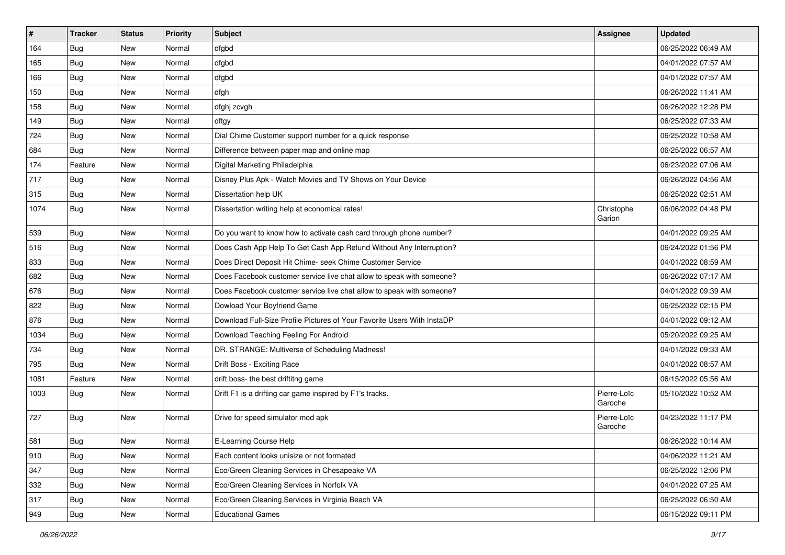| $\vert$ # | <b>Tracker</b> | <b>Status</b> | Priority | <b>Subject</b>                                                          | <b>Assignee</b>        | <b>Updated</b>      |
|-----------|----------------|---------------|----------|-------------------------------------------------------------------------|------------------------|---------------------|
| 164       | <b>Bug</b>     | New           | Normal   | dfgbd                                                                   |                        | 06/25/2022 06:49 AM |
| 165       | Bug            | <b>New</b>    | Normal   | dfgbd                                                                   |                        | 04/01/2022 07:57 AM |
| 166       | <b>Bug</b>     | New           | Normal   | dfgbd                                                                   |                        | 04/01/2022 07:57 AM |
| 150       | Bug            | New           | Normal   | dfgh                                                                    |                        | 06/26/2022 11:41 AM |
| 158       | Bug            | New           | Normal   | dfghj zcvgh                                                             |                        | 06/26/2022 12:28 PM |
| 149       | Bug            | New           | Normal   | dftgy                                                                   |                        | 06/25/2022 07:33 AM |
| 724       | Bug            | New           | Normal   | Dial Chime Customer support number for a quick response                 |                        | 06/25/2022 10:58 AM |
| 684       | Bug            | New           | Normal   | Difference between paper map and online map                             |                        | 06/25/2022 06:57 AM |
| 174       | Feature        | New           | Normal   | Digital Marketing Philadelphia                                          |                        | 06/23/2022 07:06 AM |
| 717       | Bug            | New           | Normal   | Disney Plus Apk - Watch Movies and TV Shows on Your Device              |                        | 06/26/2022 04:56 AM |
| 315       | <b>Bug</b>     | New           | Normal   | Dissertation help UK                                                    |                        | 06/25/2022 02:51 AM |
| 1074      | <b>Bug</b>     | New           | Normal   | Dissertation writing help at economical rates!                          | Christophe<br>Garion   | 06/06/2022 04:48 PM |
| 539       | <b>Bug</b>     | New           | Normal   | Do you want to know how to activate cash card through phone number?     |                        | 04/01/2022 09:25 AM |
| 516       | Bug            | <b>New</b>    | Normal   | Does Cash App Help To Get Cash App Refund Without Any Interruption?     |                        | 06/24/2022 01:56 PM |
| 833       | Bug            | New           | Normal   | Does Direct Deposit Hit Chime- seek Chime Customer Service              |                        | 04/01/2022 08:59 AM |
| 682       | <b>Bug</b>     | New           | Normal   | Does Facebook customer service live chat allow to speak with someone?   |                        | 06/26/2022 07:17 AM |
| 676       | Bug            | New           | Normal   | Does Facebook customer service live chat allow to speak with someone?   |                        | 04/01/2022 09:39 AM |
| 822       | <b>Bug</b>     | New           | Normal   | Dowload Your Boyfriend Game                                             |                        | 06/25/2022 02:15 PM |
| 876       | Bug            | New           | Normal   | Download Full-Size Profile Pictures of Your Favorite Users With InstaDP |                        | 04/01/2022 09:12 AM |
| 1034      | Bug            | <b>New</b>    | Normal   | Download Teaching Feeling For Android                                   |                        | 05/20/2022 09:25 AM |
| 734       | <b>Bug</b>     | New           | Normal   | DR. STRANGE: Multiverse of Scheduling Madness!                          |                        | 04/01/2022 09:33 AM |
| 795       | <b>Bug</b>     | New           | Normal   | Drift Boss - Exciting Race                                              |                        | 04/01/2022 08:57 AM |
| 1081      | Feature        | New           | Normal   | drift boss- the best driftitng game                                     |                        | 06/15/2022 05:56 AM |
| 1003      | <b>Bug</b>     | New           | Normal   | Drift F1 is a drifting car game inspired by F1's tracks.                | Pierre-Loïc<br>Garoche | 05/10/2022 10:52 AM |
| 727       | <b>Bug</b>     | New           | Normal   | Drive for speed simulator mod apk                                       | Pierre-Loïc<br>Garoche | 04/23/2022 11:17 PM |
| 581       | Bug            | New           | Normal   | E-Learning Course Help                                                  |                        | 06/26/2022 10:14 AM |
| 910       | <b>Bug</b>     | New           | Normal   | Each content looks unisize or not formated                              |                        | 04/06/2022 11:21 AM |
| 347       | <b>Bug</b>     | New           | Normal   | Eco/Green Cleaning Services in Chesapeake VA                            |                        | 06/25/2022 12:06 PM |
| 332       | <b>Bug</b>     | New           | Normal   | Eco/Green Cleaning Services in Norfolk VA                               |                        | 04/01/2022 07:25 AM |
| 317       | Bug            | New           | Normal   | Eco/Green Cleaning Services in Virginia Beach VA                        |                        | 06/25/2022 06:50 AM |
| 949       | <b>Bug</b>     | New           | Normal   | <b>Educational Games</b>                                                |                        | 06/15/2022 09:11 PM |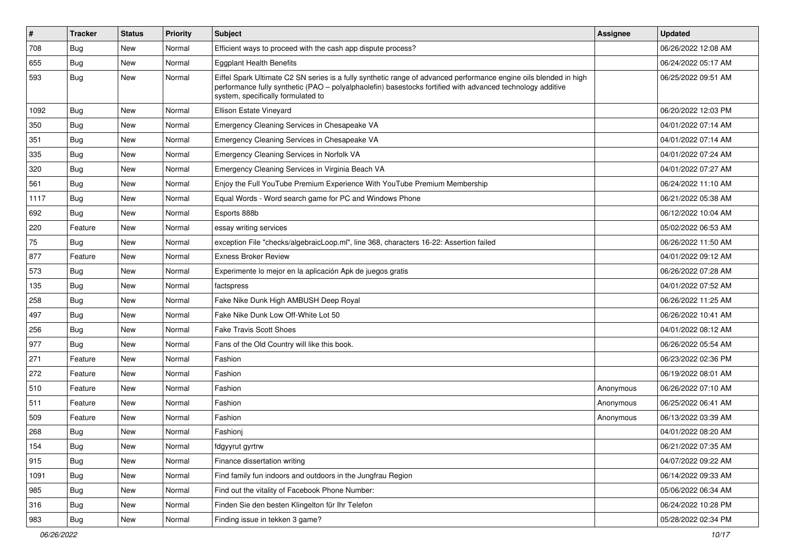| #    | <b>Tracker</b> | <b>Status</b> | <b>Priority</b> | Subject                                                                                                                                                                                                                                                               | <b>Assignee</b> | <b>Updated</b>      |
|------|----------------|---------------|-----------------|-----------------------------------------------------------------------------------------------------------------------------------------------------------------------------------------------------------------------------------------------------------------------|-----------------|---------------------|
| 708  | <b>Bug</b>     | New           | Normal          | Efficient ways to proceed with the cash app dispute process?                                                                                                                                                                                                          |                 | 06/26/2022 12:08 AM |
| 655  | Bug            | New           | Normal          | <b>Eggplant Health Benefits</b>                                                                                                                                                                                                                                       |                 | 06/24/2022 05:17 AM |
| 593  | Bug            | New           | Normal          | Eiffel Spark Ultimate C2 SN series is a fully synthetic range of advanced performance engine oils blended in high<br>performance fully synthetic (PAO – polyalphaolefin) basestocks fortified with advanced technology additive<br>system, specifically formulated to |                 | 06/25/2022 09:51 AM |
| 1092 | Bug            | New           | Normal          | Ellison Estate Vineyard                                                                                                                                                                                                                                               |                 | 06/20/2022 12:03 PM |
| 350  | <b>Bug</b>     | <b>New</b>    | Normal          | Emergency Cleaning Services in Chesapeake VA                                                                                                                                                                                                                          |                 | 04/01/2022 07:14 AM |
| 351  | Bug            | New           | Normal          | Emergency Cleaning Services in Chesapeake VA                                                                                                                                                                                                                          |                 | 04/01/2022 07:14 AM |
| 335  | Bug            | New           | Normal          | Emergency Cleaning Services in Norfolk VA                                                                                                                                                                                                                             |                 | 04/01/2022 07:24 AM |
| 320  | Bug            | New           | Normal          | Emergency Cleaning Services in Virginia Beach VA                                                                                                                                                                                                                      |                 | 04/01/2022 07:27 AM |
| 561  | Bug            | <b>New</b>    | Normal          | Enjoy the Full YouTube Premium Experience With YouTube Premium Membership                                                                                                                                                                                             |                 | 06/24/2022 11:10 AM |
| 1117 | Bug            | New           | Normal          | Equal Words - Word search game for PC and Windows Phone                                                                                                                                                                                                               |                 | 06/21/2022 05:38 AM |
| 692  | Bug            | New           | Normal          | Esports 888b                                                                                                                                                                                                                                                          |                 | 06/12/2022 10:04 AM |
| 220  | Feature        | New           | Normal          | essay writing services                                                                                                                                                                                                                                                |                 | 05/02/2022 06:53 AM |
| 75   | Bug            | New           | Normal          | exception File "checks/algebraicLoop.ml", line 368, characters 16-22: Assertion failed                                                                                                                                                                                |                 | 06/26/2022 11:50 AM |
| 877  | Feature        | New           | Normal          | <b>Exness Broker Review</b>                                                                                                                                                                                                                                           |                 | 04/01/2022 09:12 AM |
| 573  | Bug            | New           | Normal          | Experimente lo mejor en la aplicación Apk de juegos gratis                                                                                                                                                                                                            |                 | 06/26/2022 07:28 AM |
| 135  | Bug            | <b>New</b>    | Normal          | factspress                                                                                                                                                                                                                                                            |                 | 04/01/2022 07:52 AM |
| 258  | Bug            | New           | Normal          | Fake Nike Dunk High AMBUSH Deep Royal                                                                                                                                                                                                                                 |                 | 06/26/2022 11:25 AM |
| 497  | <b>Bug</b>     | <b>New</b>    | Normal          | Fake Nike Dunk Low Off-White Lot 50                                                                                                                                                                                                                                   |                 | 06/26/2022 10:41 AM |
| 256  | Bug            | New           | Normal          | <b>Fake Travis Scott Shoes</b>                                                                                                                                                                                                                                        |                 | 04/01/2022 08:12 AM |
| 977  | Bug            | New           | Normal          | Fans of the Old Country will like this book.                                                                                                                                                                                                                          |                 | 06/26/2022 05:54 AM |
| 271  | Feature        | New           | Normal          | Fashion                                                                                                                                                                                                                                                               |                 | 06/23/2022 02:36 PM |
| 272  | Feature        | New           | Normal          | Fashion                                                                                                                                                                                                                                                               |                 | 06/19/2022 08:01 AM |
| 510  | Feature        | <b>New</b>    | Normal          | Fashion                                                                                                                                                                                                                                                               | Anonymous       | 06/26/2022 07:10 AM |
| 511  | Feature        | New           | Normal          | Fashion                                                                                                                                                                                                                                                               | Anonymous       | 06/25/2022 06:41 AM |
| 509  | Feature        | New           | Normal          | Fashion                                                                                                                                                                                                                                                               | Anonymous       | 06/13/2022 03:39 AM |
| 268  | Bug            | New           | Normal          | Fashioni                                                                                                                                                                                                                                                              |                 | 04/01/2022 08:20 AM |
| 154  | Bug            | New           | Normal          | fdgyyrut gyrtrw                                                                                                                                                                                                                                                       |                 | 06/21/2022 07:35 AM |
| 915  | <b>Bug</b>     | New           | Normal          | Finance dissertation writing                                                                                                                                                                                                                                          |                 | 04/07/2022 09:22 AM |
| 1091 | <b>Bug</b>     | New           | Normal          | Find family fun indoors and outdoors in the Jungfrau Region                                                                                                                                                                                                           |                 | 06/14/2022 09:33 AM |
| 985  | <b>Bug</b>     | New           | Normal          | Find out the vitality of Facebook Phone Number:                                                                                                                                                                                                                       |                 | 05/06/2022 06:34 AM |
| 316  | <b>Bug</b>     | New           | Normal          | Finden Sie den besten Klingelton für Ihr Telefon                                                                                                                                                                                                                      |                 | 06/24/2022 10:28 PM |
| 983  | <b>Bug</b>     | New           | Normal          | Finding issue in tekken 3 game?                                                                                                                                                                                                                                       |                 | 05/28/2022 02:34 PM |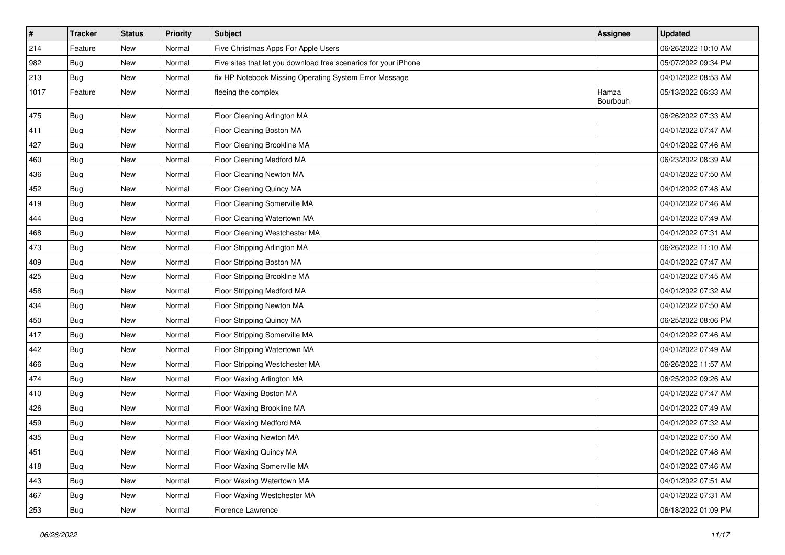| $\sharp$ | <b>Tracker</b> | <b>Status</b> | <b>Priority</b> | Subject                                                         | <b>Assignee</b>   | <b>Updated</b>      |
|----------|----------------|---------------|-----------------|-----------------------------------------------------------------|-------------------|---------------------|
| 214      | Feature        | New           | Normal          | Five Christmas Apps For Apple Users                             |                   | 06/26/2022 10:10 AM |
| 982      | Bug            | New           | Normal          | Five sites that let you download free scenarios for your iPhone |                   | 05/07/2022 09:34 PM |
| 213      | <b>Bug</b>     | New           | Normal          | fix HP Notebook Missing Operating System Error Message          |                   | 04/01/2022 08:53 AM |
| 1017     | Feature        | New           | Normal          | fleeing the complex                                             | Hamza<br>Bourbouh | 05/13/2022 06:33 AM |
| 475      | Bug            | New           | Normal          | Floor Cleaning Arlington MA                                     |                   | 06/26/2022 07:33 AM |
| 411      | <b>Bug</b>     | New           | Normal          | Floor Cleaning Boston MA                                        |                   | 04/01/2022 07:47 AM |
| 427      | <b>Bug</b>     | New           | Normal          | Floor Cleaning Brookline MA                                     |                   | 04/01/2022 07:46 AM |
| 460      | <b>Bug</b>     | New           | Normal          | Floor Cleaning Medford MA                                       |                   | 06/23/2022 08:39 AM |
| 436      | Bug            | New           | Normal          | Floor Cleaning Newton MA                                        |                   | 04/01/2022 07:50 AM |
| 452      | <b>Bug</b>     | New           | Normal          | Floor Cleaning Quincy MA                                        |                   | 04/01/2022 07:48 AM |
| 419      | <b>Bug</b>     | New           | Normal          | Floor Cleaning Somerville MA                                    |                   | 04/01/2022 07:46 AM |
| 444      | <b>Bug</b>     | New           | Normal          | Floor Cleaning Watertown MA                                     |                   | 04/01/2022 07:49 AM |
| 468      | Bug            | New           | Normal          | Floor Cleaning Westchester MA                                   |                   | 04/01/2022 07:31 AM |
| 473      | Bug            | New           | Normal          | Floor Stripping Arlington MA                                    |                   | 06/26/2022 11:10 AM |
| 409      | Bug            | New           | Normal          | Floor Stripping Boston MA                                       |                   | 04/01/2022 07:47 AM |
| 425      | <b>Bug</b>     | New           | Normal          | Floor Stripping Brookline MA                                    |                   | 04/01/2022 07:45 AM |
| 458      | Bug            | New           | Normal          | Floor Stripping Medford MA                                      |                   | 04/01/2022 07:32 AM |
| 434      | <b>Bug</b>     | New           | Normal          | Floor Stripping Newton MA                                       |                   | 04/01/2022 07:50 AM |
| 450      | Bug            | New           | Normal          | Floor Stripping Quincy MA                                       |                   | 06/25/2022 08:06 PM |
| 417      | <b>Bug</b>     | New           | Normal          | Floor Stripping Somerville MA                                   |                   | 04/01/2022 07:46 AM |
| 442      | <b>Bug</b>     | New           | Normal          | Floor Stripping Watertown MA                                    |                   | 04/01/2022 07:49 AM |
| 466      | <b>Bug</b>     | New           | Normal          | Floor Stripping Westchester MA                                  |                   | 06/26/2022 11:57 AM |
| 474      | <b>Bug</b>     | New           | Normal          | Floor Waxing Arlington MA                                       |                   | 06/25/2022 09:26 AM |
| 410      | Bug            | New           | Normal          | Floor Waxing Boston MA                                          |                   | 04/01/2022 07:47 AM |
| 426      | <b>Bug</b>     | New           | Normal          | Floor Waxing Brookline MA                                       |                   | 04/01/2022 07:49 AM |
| 459      | <b>Bug</b>     | New           | Normal          | Floor Waxing Medford MA                                         |                   | 04/01/2022 07:32 AM |
| 435      | <b>Bug</b>     | New           | Normal          | Floor Waxing Newton MA                                          |                   | 04/01/2022 07:50 AM |
| 451      | <b>Bug</b>     | New           | Normal          | Floor Waxing Quincy MA                                          |                   | 04/01/2022 07:48 AM |
| 418      | <b>Bug</b>     | New           | Normal          | Floor Waxing Somerville MA                                      |                   | 04/01/2022 07:46 AM |
| 443      | Bug            | New           | Normal          | Floor Waxing Watertown MA                                       |                   | 04/01/2022 07:51 AM |
| 467      | Bug            | New           | Normal          | Floor Waxing Westchester MA                                     |                   | 04/01/2022 07:31 AM |
| 253      | <b>Bug</b>     | New           | Normal          | Florence Lawrence                                               |                   | 06/18/2022 01:09 PM |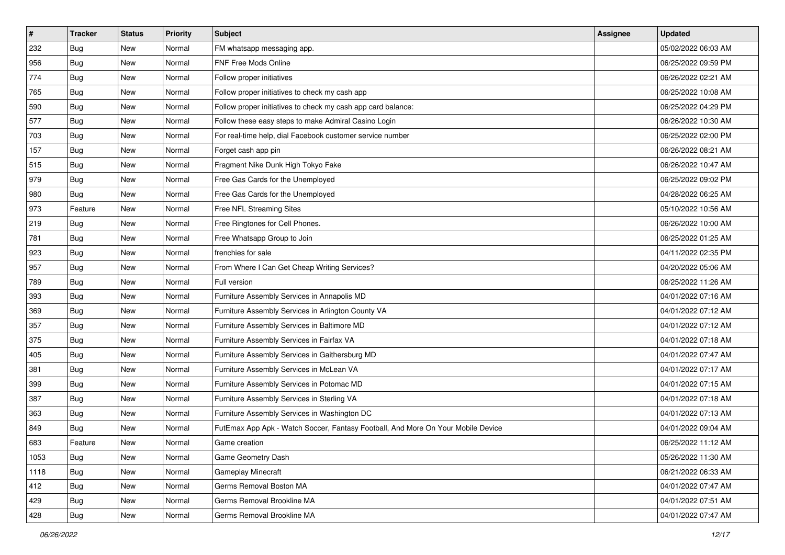| $\sharp$ | <b>Tracker</b> | <b>Status</b> | <b>Priority</b> | Subject                                                                          | Assignee | <b>Updated</b>      |
|----------|----------------|---------------|-----------------|----------------------------------------------------------------------------------|----------|---------------------|
| 232      | <b>Bug</b>     | New           | Normal          | FM whatsapp messaging app.                                                       |          | 05/02/2022 06:03 AM |
| 956      | <b>Bug</b>     | New           | Normal          | FNF Free Mods Online                                                             |          | 06/25/2022 09:59 PM |
| 774      | Bug            | New           | Normal          | Follow proper initiatives                                                        |          | 06/26/2022 02:21 AM |
| 765      | Bug            | New           | Normal          | Follow proper initiatives to check my cash app                                   |          | 06/25/2022 10:08 AM |
| 590      | Bug            | New           | Normal          | Follow proper initiatives to check my cash app card balance:                     |          | 06/25/2022 04:29 PM |
| 577      | <b>Bug</b>     | New           | Normal          | Follow these easy steps to make Admiral Casino Login                             |          | 06/26/2022 10:30 AM |
| 703      | Bug            | New           | Normal          | For real-time help, dial Facebook customer service number                        |          | 06/25/2022 02:00 PM |
| 157      | <b>Bug</b>     | New           | Normal          | Forget cash app pin                                                              |          | 06/26/2022 08:21 AM |
| 515      | Bug            | New           | Normal          | Fragment Nike Dunk High Tokyo Fake                                               |          | 06/26/2022 10:47 AM |
| 979      | Bug            | New           | Normal          | Free Gas Cards for the Unemployed                                                |          | 06/25/2022 09:02 PM |
| 980      | <b>Bug</b>     | New           | Normal          | Free Gas Cards for the Unemployed                                                |          | 04/28/2022 06:25 AM |
| 973      | Feature        | New           | Normal          | Free NFL Streaming Sites                                                         |          | 05/10/2022 10:56 AM |
| 219      | Bug            | New           | Normal          | Free Ringtones for Cell Phones.                                                  |          | 06/26/2022 10:00 AM |
| 781      | <b>Bug</b>     | New           | Normal          | Free Whatsapp Group to Join                                                      |          | 06/25/2022 01:25 AM |
| 923      | <b>Bug</b>     | New           | Normal          | frenchies for sale                                                               |          | 04/11/2022 02:35 PM |
| 957      | Bug            | New           | Normal          | From Where I Can Get Cheap Writing Services?                                     |          | 04/20/2022 05:06 AM |
| 789      | Bug            | New           | Normal          | Full version                                                                     |          | 06/25/2022 11:26 AM |
| 393      | Bug            | <b>New</b>    | Normal          | Furniture Assembly Services in Annapolis MD                                      |          | 04/01/2022 07:16 AM |
| 369      | Bug            | New           | Normal          | Furniture Assembly Services in Arlington County VA                               |          | 04/01/2022 07:12 AM |
| 357      | Bug            | New           | Normal          | Furniture Assembly Services in Baltimore MD                                      |          | 04/01/2022 07:12 AM |
| 375      | Bug            | New           | Normal          | Furniture Assembly Services in Fairfax VA                                        |          | 04/01/2022 07:18 AM |
| 405      | Bug            | <b>New</b>    | Normal          | Furniture Assembly Services in Gaithersburg MD                                   |          | 04/01/2022 07:47 AM |
| 381      | Bug            | New           | Normal          | Furniture Assembly Services in McLean VA                                         |          | 04/01/2022 07:17 AM |
| 399      | <b>Bug</b>     | New           | Normal          | Furniture Assembly Services in Potomac MD                                        |          | 04/01/2022 07:15 AM |
| 387      | Bug            | New           | Normal          | Furniture Assembly Services in Sterling VA                                       |          | 04/01/2022 07:18 AM |
| 363      | Bug            | New           | Normal          | Furniture Assembly Services in Washington DC                                     |          | 04/01/2022 07:13 AM |
| 849      | <b>Bug</b>     | New           | Normal          | FutEmax App Apk - Watch Soccer, Fantasy Football, And More On Your Mobile Device |          | 04/01/2022 09:04 AM |
| 683      | Feature        | New           | Normal          | Game creation                                                                    |          | 06/25/2022 11:12 AM |
| 1053     | <b>Bug</b>     | New           | Normal          | Game Geometry Dash                                                               |          | 05/26/2022 11:30 AM |
| 1118     | <b>Bug</b>     | New           | Normal          | <b>Gameplay Minecraft</b>                                                        |          | 06/21/2022 06:33 AM |
| 412      | Bug            | New           | Normal          | Germs Removal Boston MA                                                          |          | 04/01/2022 07:47 AM |
| 429      | <b>Bug</b>     | New           | Normal          | Germs Removal Brookline MA                                                       |          | 04/01/2022 07:51 AM |
| 428      | <b>Bug</b>     | New           | Normal          | Germs Removal Brookline MA                                                       |          | 04/01/2022 07:47 AM |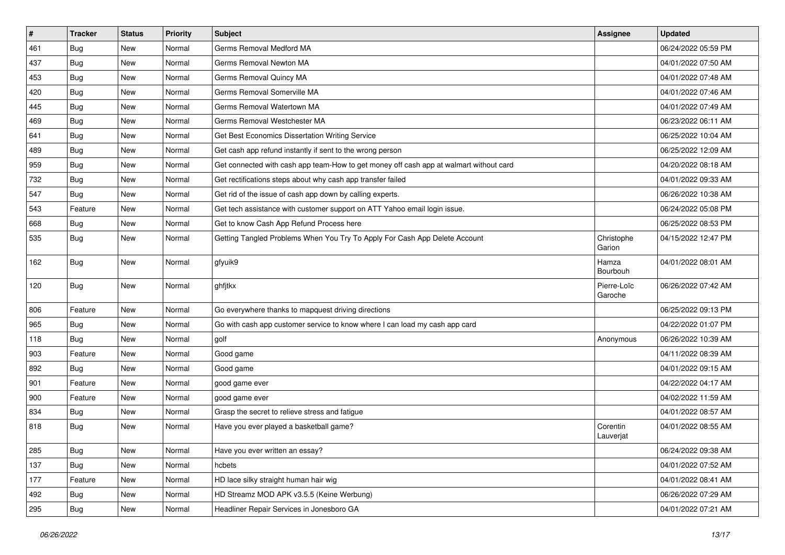| $\vert$ # | <b>Tracker</b> | <b>Status</b> | <b>Priority</b> | Subject                                                                                | <b>Assignee</b>        | <b>Updated</b>      |
|-----------|----------------|---------------|-----------------|----------------------------------------------------------------------------------------|------------------------|---------------------|
| 461       | Bug            | New           | Normal          | Germs Removal Medford MA                                                               |                        | 06/24/2022 05:59 PM |
| 437       | Bug            | <b>New</b>    | Normal          | Germs Removal Newton MA                                                                |                        | 04/01/2022 07:50 AM |
| 453       | <b>Bug</b>     | New           | Normal          | Germs Removal Quincy MA                                                                |                        | 04/01/2022 07:48 AM |
| 420       | <b>Bug</b>     | New           | Normal          | Germs Removal Somerville MA                                                            |                        | 04/01/2022 07:46 AM |
| 445       | Bug            | New           | Normal          | Germs Removal Watertown MA                                                             |                        | 04/01/2022 07:49 AM |
| 469       | <b>Bug</b>     | New           | Normal          | Germs Removal Westchester MA                                                           |                        | 06/23/2022 06:11 AM |
| 641       | Bug            | New           | Normal          | Get Best Economics Dissertation Writing Service                                        |                        | 06/25/2022 10:04 AM |
| 489       | <b>Bug</b>     | New           | Normal          | Get cash app refund instantly if sent to the wrong person                              |                        | 06/25/2022 12:09 AM |
| 959       | <b>Bug</b>     | <b>New</b>    | Normal          | Get connected with cash app team-How to get money off cash app at walmart without card |                        | 04/20/2022 08:18 AM |
| 732       | Bug            | New           | Normal          | Get rectifications steps about why cash app transfer failed                            |                        | 04/01/2022 09:33 AM |
| 547       | Bug            | New           | Normal          | Get rid of the issue of cash app down by calling experts.                              |                        | 06/26/2022 10:38 AM |
| 543       | Feature        | New           | Normal          | Get tech assistance with customer support on ATT Yahoo email login issue.              |                        | 06/24/2022 05:08 PM |
| 668       | Bug            | New           | Normal          | Get to know Cash App Refund Process here                                               |                        | 06/25/2022 08:53 PM |
| 535       | <b>Bug</b>     | New           | Normal          | Getting Tangled Problems When You Try To Apply For Cash App Delete Account             | Christophe<br>Garion   | 04/15/2022 12:47 PM |
| 162       | <b>Bug</b>     | New           | Normal          | gfyuik9                                                                                | Hamza<br>Bourbouh      | 04/01/2022 08:01 AM |
| 120       | <b>Bug</b>     | New           | Normal          | ghfjtkx                                                                                | Pierre-Loïc<br>Garoche | 06/26/2022 07:42 AM |
| 806       | Feature        | New           | Normal          | Go everywhere thanks to mapquest driving directions                                    |                        | 06/25/2022 09:13 PM |
| 965       | Bug            | New           | Normal          | Go with cash app customer service to know where I can load my cash app card            |                        | 04/22/2022 01:07 PM |
| 118       | Bug            | New           | Normal          | golf                                                                                   | Anonymous              | 06/26/2022 10:39 AM |
| 903       | Feature        | New           | Normal          | Good game                                                                              |                        | 04/11/2022 08:39 AM |
| 892       | Bug            | New           | Normal          | Good game                                                                              |                        | 04/01/2022 09:15 AM |
| 901       | Feature        | New           | Normal          | good game ever                                                                         |                        | 04/22/2022 04:17 AM |
| 900       | Feature        | New           | Normal          | good game ever                                                                         |                        | 04/02/2022 11:59 AM |
| 834       | Bug            | New           | Normal          | Grasp the secret to relieve stress and fatigue                                         |                        | 04/01/2022 08:57 AM |
| 818       | <b>Bug</b>     | New           | Normal          | Have you ever played a basketball game?                                                | Corentin<br>Lauverjat  | 04/01/2022 08:55 AM |
| 285       | <b>Bug</b>     | New           | Normal          | Have you ever written an essay?                                                        |                        | 06/24/2022 09:38 AM |
| 137       | Bug            | New           | Normal          | hcbets                                                                                 |                        | 04/01/2022 07:52 AM |
| 177       | Feature        | New           | Normal          | HD lace silky straight human hair wig                                                  |                        | 04/01/2022 08:41 AM |
| 492       | <b>Bug</b>     | New           | Normal          | HD Streamz MOD APK v3.5.5 (Keine Werbung)                                              |                        | 06/26/2022 07:29 AM |
| 295       | <b>Bug</b>     | New           | Normal          | Headliner Repair Services in Jonesboro GA                                              |                        | 04/01/2022 07:21 AM |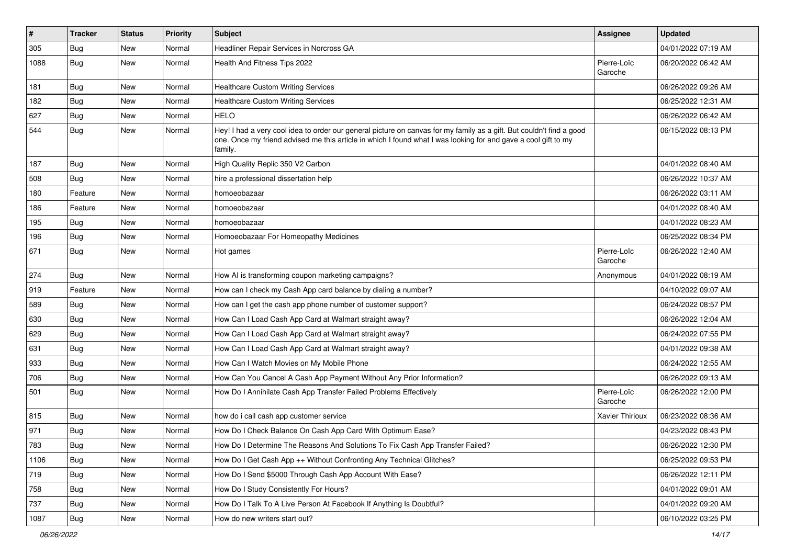| $\pmb{\sharp}$ | <b>Tracker</b> | <b>Status</b> | Priority | Subject                                                                                                                                                                                                                                           | Assignee               | <b>Updated</b>      |
|----------------|----------------|---------------|----------|---------------------------------------------------------------------------------------------------------------------------------------------------------------------------------------------------------------------------------------------------|------------------------|---------------------|
| 305            | <b>Bug</b>     | New           | Normal   | Headliner Repair Services in Norcross GA                                                                                                                                                                                                          |                        | 04/01/2022 07:19 AM |
| 1088           | <b>Bug</b>     | New           | Normal   | Health And Fitness Tips 2022                                                                                                                                                                                                                      | Pierre-Loïc<br>Garoche | 06/20/2022 06:42 AM |
| 181            | Bug            | New           | Normal   | <b>Healthcare Custom Writing Services</b>                                                                                                                                                                                                         |                        | 06/26/2022 09:26 AM |
| 182            | Bug            | New           | Normal   | <b>Healthcare Custom Writing Services</b>                                                                                                                                                                                                         |                        | 06/25/2022 12:31 AM |
| 627            | Bug            | New           | Normal   | <b>HELO</b>                                                                                                                                                                                                                                       |                        | 06/26/2022 06:42 AM |
| 544            | <b>Bug</b>     | New           | Normal   | Hey! I had a very cool idea to order our general picture on canvas for my family as a gift. But couldn't find a good<br>one. Once my friend advised me this article in which I found what I was looking for and gave a cool gift to my<br>family. |                        | 06/15/2022 08:13 PM |
| 187            | Bug            | New           | Normal   | High Quality Replic 350 V2 Carbon                                                                                                                                                                                                                 |                        | 04/01/2022 08:40 AM |
| 508            | Bug            | New           | Normal   | hire a professional dissertation help                                                                                                                                                                                                             |                        | 06/26/2022 10:37 AM |
| 180            | Feature        | New           | Normal   | homoeobazaar                                                                                                                                                                                                                                      |                        | 06/26/2022 03:11 AM |
| 186            | Feature        | New           | Normal   | homoeobazaar                                                                                                                                                                                                                                      |                        | 04/01/2022 08:40 AM |
| 195            | <b>Bug</b>     | New           | Normal   | homoeobazaar                                                                                                                                                                                                                                      |                        | 04/01/2022 08:23 AM |
| 196            | Bug            | New           | Normal   | Homoeobazaar For Homeopathy Medicines                                                                                                                                                                                                             |                        | 06/25/2022 08:34 PM |
| 671            | Bug            | New           | Normal   | Hot games                                                                                                                                                                                                                                         | Pierre-Loïc<br>Garoche | 06/26/2022 12:40 AM |
| 274            | Bug            | New           | Normal   | How AI is transforming coupon marketing campaigns?                                                                                                                                                                                                | Anonymous              | 04/01/2022 08:19 AM |
| 919            | Feature        | New           | Normal   | How can I check my Cash App card balance by dialing a number?                                                                                                                                                                                     |                        | 04/10/2022 09:07 AM |
| 589            | <b>Bug</b>     | New           | Normal   | How can I get the cash app phone number of customer support?                                                                                                                                                                                      |                        | 06/24/2022 08:57 PM |
| 630            | Bug            | New           | Normal   | How Can I Load Cash App Card at Walmart straight away?                                                                                                                                                                                            |                        | 06/26/2022 12:04 AM |
| 629            | <b>Bug</b>     | New           | Normal   | How Can I Load Cash App Card at Walmart straight away?                                                                                                                                                                                            |                        | 06/24/2022 07:55 PM |
| 631            | Bug            | New           | Normal   | How Can I Load Cash App Card at Walmart straight away?                                                                                                                                                                                            |                        | 04/01/2022 09:38 AM |
| 933            | Bug            | New           | Normal   | How Can I Watch Movies on My Mobile Phone                                                                                                                                                                                                         |                        | 06/24/2022 12:55 AM |
| 706            | <b>Bug</b>     | New           | Normal   | How Can You Cancel A Cash App Payment Without Any Prior Information?                                                                                                                                                                              |                        | 06/26/2022 09:13 AM |
| 501            | <b>Bug</b>     | New           | Normal   | How Do I Annihilate Cash App Transfer Failed Problems Effectively                                                                                                                                                                                 | Pierre-Loïc<br>Garoche | 06/26/2022 12:00 PM |
| 815            | Bug            | New           | Normal   | how do i call cash app customer service                                                                                                                                                                                                           | Xavier Thirioux        | 06/23/2022 08:36 AM |
| 971            | <b>Bug</b>     | New           | Normal   | How Do I Check Balance On Cash App Card With Optimum Ease?                                                                                                                                                                                        |                        | 04/23/2022 08:43 PM |
| 783            | Bug            | New           | Normal   | How Do I Determine The Reasons And Solutions To Fix Cash App Transfer Failed?                                                                                                                                                                     |                        | 06/26/2022 12:30 PM |
| 1106           | Bug            | New           | Normal   | How Do I Get Cash App ++ Without Confronting Any Technical Glitches?                                                                                                                                                                              |                        | 06/25/2022 09:53 PM |
| 719            | Bug            | New           | Normal   | How Do I Send \$5000 Through Cash App Account With Ease?                                                                                                                                                                                          |                        | 06/26/2022 12:11 PM |
| 758            | <b>Bug</b>     | New           | Normal   | How Do I Study Consistently For Hours?                                                                                                                                                                                                            |                        | 04/01/2022 09:01 AM |
| 737            | Bug            | New           | Normal   | How Do I Talk To A Live Person At Facebook If Anything Is Doubtful?                                                                                                                                                                               |                        | 04/01/2022 09:20 AM |
| 1087           | <b>Bug</b>     | New           | Normal   | How do new writers start out?                                                                                                                                                                                                                     |                        | 06/10/2022 03:25 PM |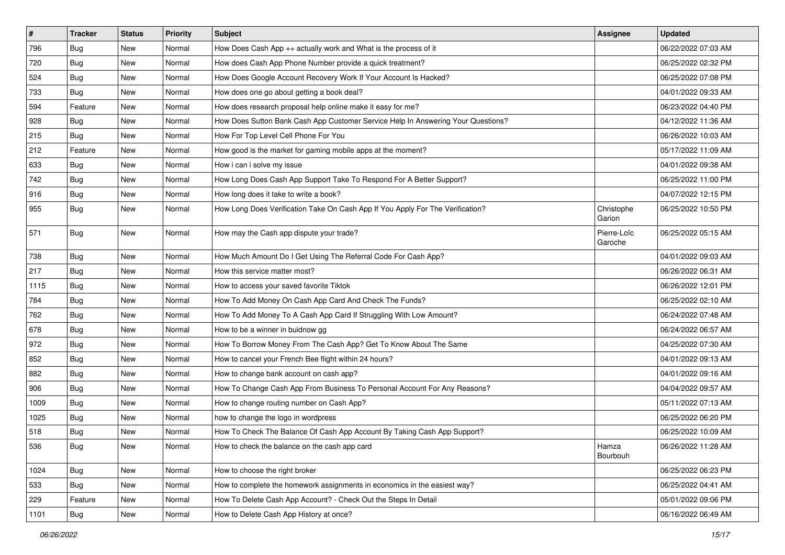| $\vert$ # | <b>Tracker</b> | <b>Status</b> | <b>Priority</b> | Subject                                                                          | <b>Assignee</b>        | <b>Updated</b>      |
|-----------|----------------|---------------|-----------------|----------------------------------------------------------------------------------|------------------------|---------------------|
| 796       | <b>Bug</b>     | New           | Normal          | How Does Cash App ++ actually work and What is the process of it                 |                        | 06/22/2022 07:03 AM |
| 720       | Bug            | New           | Normal          | How does Cash App Phone Number provide a quick treatment?                        |                        | 06/25/2022 02:32 PM |
| 524       | Bug            | New           | Normal          | How Does Google Account Recovery Work If Your Account Is Hacked?                 |                        | 06/25/2022 07:08 PM |
| 733       | <b>Bug</b>     | New           | Normal          | How does one go about getting a book deal?                                       |                        | 04/01/2022 09:33 AM |
| 594       | Feature        | New           | Normal          | How does research proposal help online make it easy for me?                      |                        | 06/23/2022 04:40 PM |
| 928       | <b>Bug</b>     | New           | Normal          | How Does Sutton Bank Cash App Customer Service Help In Answering Your Questions? |                        | 04/12/2022 11:36 AM |
| 215       | <b>Bug</b>     | New           | Normal          | How For Top Level Cell Phone For You                                             |                        | 06/26/2022 10:03 AM |
| 212       | Feature        | New           | Normal          | How good is the market for gaming mobile apps at the moment?                     |                        | 05/17/2022 11:09 AM |
| 633       | Bug            | New           | Normal          | How i can i solve my issue                                                       |                        | 04/01/2022 09:38 AM |
| 742       | <b>Bug</b>     | <b>New</b>    | Normal          | How Long Does Cash App Support Take To Respond For A Better Support?             |                        | 06/25/2022 11:00 PM |
| 916       | <b>Bug</b>     | New           | Normal          | How long does it take to write a book?                                           |                        | 04/07/2022 12:15 PM |
| 955       | <b>Bug</b>     | New           | Normal          | How Long Does Verification Take On Cash App If You Apply For The Verification?   | Christophe<br>Garion   | 06/25/2022 10:50 PM |
| 571       | Bug            | New           | Normal          | How may the Cash app dispute your trade?                                         | Pierre-Loïc<br>Garoche | 06/25/2022 05:15 AM |
| 738       | Bug            | New           | Normal          | How Much Amount Do I Get Using The Referral Code For Cash App?                   |                        | 04/01/2022 09:03 AM |
| 217       | Bug            | New           | Normal          | How this service matter most?                                                    |                        | 06/26/2022 06:31 AM |
| 1115      | <b>Bug</b>     | New           | Normal          | How to access your saved favorite Tiktok                                         |                        | 06/26/2022 12:01 PM |
| 784       | <b>Bug</b>     | New           | Normal          | How To Add Money On Cash App Card And Check The Funds?                           |                        | 06/25/2022 02:10 AM |
| 762       | <b>Bug</b>     | New           | Normal          | How To Add Money To A Cash App Card If Struggling With Low Amount?               |                        | 06/24/2022 07:48 AM |
| 678       | Bug            | New           | Normal          | How to be a winner in buidnow gg                                                 |                        | 06/24/2022 06:57 AM |
| 972       | <b>Bug</b>     | New           | Normal          | How To Borrow Money From The Cash App? Get To Know About The Same                |                        | 04/25/2022 07:30 AM |
| 852       | <b>Bug</b>     | New           | Normal          | How to cancel your French Bee flight within 24 hours?                            |                        | 04/01/2022 09:13 AM |
| 882       | <b>Bug</b>     | New           | Normal          | How to change bank account on cash app?                                          |                        | 04/01/2022 09:16 AM |
| 906       | <b>Bug</b>     | New           | Normal          | How To Change Cash App From Business To Personal Account For Any Reasons?        |                        | 04/04/2022 09:57 AM |
| 1009      | <b>Bug</b>     | New           | Normal          | How to change routing number on Cash App?                                        |                        | 05/11/2022 07:13 AM |
| 1025      | <b>Bug</b>     | New           | Normal          | how to change the logo in wordpress                                              |                        | 06/25/2022 06:20 PM |
| 518       | <b>Bug</b>     | New           | Normal          | How To Check The Balance Of Cash App Account By Taking Cash App Support?         |                        | 06/25/2022 10:09 AM |
| 536       | <b>Bug</b>     | New           | Normal          | How to check the balance on the cash app card                                    | Hamza<br>Bourbouh      | 06/26/2022 11:28 AM |
| 1024      | Bug            | New           | Normal          | How to choose the right broker                                                   |                        | 06/25/2022 06:23 PM |
| 533       | Bug            | New           | Normal          | How to complete the homework assignments in economics in the easiest way?        |                        | 06/25/2022 04:41 AM |
| 229       | Feature        | New           | Normal          | How To Delete Cash App Account? - Check Out the Steps In Detail                  |                        | 05/01/2022 09:06 PM |
| 1101      | <b>Bug</b>     | New           | Normal          | How to Delete Cash App History at once?                                          |                        | 06/16/2022 06:49 AM |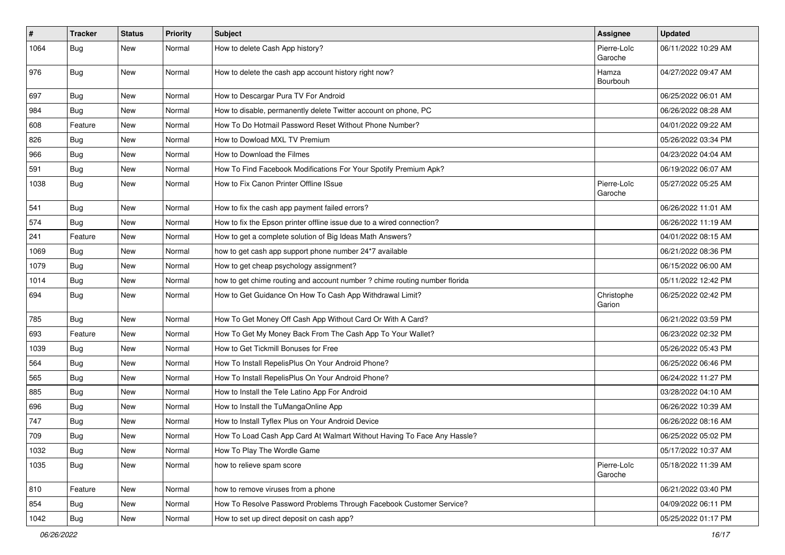| $\vert$ # | <b>Tracker</b> | <b>Status</b> | <b>Priority</b> | Subject                                                                    | <b>Assignee</b>        | <b>Updated</b>      |
|-----------|----------------|---------------|-----------------|----------------------------------------------------------------------------|------------------------|---------------------|
| 1064      | <b>Bug</b>     | New           | Normal          | How to delete Cash App history?                                            | Pierre-Loïc<br>Garoche | 06/11/2022 10:29 AM |
| 976       | Bug            | New           | Normal          | How to delete the cash app account history right now?                      | Hamza<br>Bourbouh      | 04/27/2022 09:47 AM |
| 697       | Bug            | New           | Normal          | How to Descargar Pura TV For Android                                       |                        | 06/25/2022 06:01 AM |
| 984       | <b>Bug</b>     | New           | Normal          | How to disable, permanently delete Twitter account on phone, PC            |                        | 06/26/2022 08:28 AM |
| 608       | Feature        | New           | Normal          | How To Do Hotmail Password Reset Without Phone Number?                     |                        | 04/01/2022 09:22 AM |
| 826       | <b>Bug</b>     | New           | Normal          | How to Dowload MXL TV Premium                                              |                        | 05/26/2022 03:34 PM |
| 966       | <b>Bug</b>     | New           | Normal          | How to Download the Filmes                                                 |                        | 04/23/2022 04:04 AM |
| 591       | <b>Bug</b>     | New           | Normal          | How To Find Facebook Modifications For Your Spotify Premium Apk?           |                        | 06/19/2022 06:07 AM |
| 1038      | Bug            | New           | Normal          | How to Fix Canon Printer Offline ISsue                                     | Pierre-Loïc<br>Garoche | 05/27/2022 05:25 AM |
| 541       | Bug            | New           | Normal          | How to fix the cash app payment failed errors?                             |                        | 06/26/2022 11:01 AM |
| 574       | <b>Bug</b>     | New           | Normal          | How to fix the Epson printer offline issue due to a wired connection?      |                        | 06/26/2022 11:19 AM |
| 241       | Feature        | New           | Normal          | How to get a complete solution of Big Ideas Math Answers?                  |                        | 04/01/2022 08:15 AM |
| 1069      | <b>Bug</b>     | New           | Normal          | how to get cash app support phone number 24*7 available                    |                        | 06/21/2022 08:36 PM |
| 1079      | <b>Bug</b>     | New           | Normal          | How to get cheap psychology assignment?                                    |                        | 06/15/2022 06:00 AM |
| 1014      | <b>Bug</b>     | New           | Normal          | how to get chime routing and account number ? chime routing number florida |                        | 05/11/2022 12:42 PM |
| 694       | <b>Bug</b>     | New           | Normal          | How to Get Guidance On How To Cash App Withdrawal Limit?                   | Christophe<br>Garion   | 06/25/2022 02:42 PM |
| 785       | Bug            | New           | Normal          | How To Get Money Off Cash App Without Card Or With A Card?                 |                        | 06/21/2022 03:59 PM |
| 693       | Feature        | New           | Normal          | How To Get My Money Back From The Cash App To Your Wallet?                 |                        | 06/23/2022 02:32 PM |
| 1039      | <b>Bug</b>     | New           | Normal          | How to Get Tickmill Bonuses for Free                                       |                        | 05/26/2022 05:43 PM |
| 564       | Bug            | New           | Normal          | How To Install RepelisPlus On Your Android Phone?                          |                        | 06/25/2022 06:46 PM |
| 565       | <b>Bug</b>     | New           | Normal          | How To Install RepelisPlus On Your Android Phone?                          |                        | 06/24/2022 11:27 PM |
| 885       | <b>Bug</b>     | New           | Normal          | How to Install the Tele Latino App For Android                             |                        | 03/28/2022 04:10 AM |
| 696       | <b>Bug</b>     | New           | Normal          | How to Install the TuMangaOnline App                                       |                        | 06/26/2022 10:39 AM |
| 747       | <b>Bug</b>     | New           | Normal          | How to Install Tyflex Plus on Your Android Device                          |                        | 06/26/2022 08:16 AM |
| 709       | <b>Bug</b>     | New           | Normal          | How To Load Cash App Card At Walmart Without Having To Face Any Hassle?    |                        | 06/25/2022 05:02 PM |
| 1032      | <b>Bug</b>     | New           | Normal          | How To Play The Wordle Game                                                |                        | 05/17/2022 10:37 AM |
| 1035      | <b>Bug</b>     | New           | Normal          | how to relieve spam score                                                  | Pierre-Loïc<br>Garoche | 05/18/2022 11:39 AM |
| 810       | Feature        | New           | Normal          | how to remove viruses from a phone                                         |                        | 06/21/2022 03:40 PM |
| 854       | <b>Bug</b>     | New           | Normal          | How To Resolve Password Problems Through Facebook Customer Service?        |                        | 04/09/2022 06:11 PM |
| 1042      | <b>Bug</b>     | New           | Normal          | How to set up direct deposit on cash app?                                  |                        | 05/25/2022 01:17 PM |